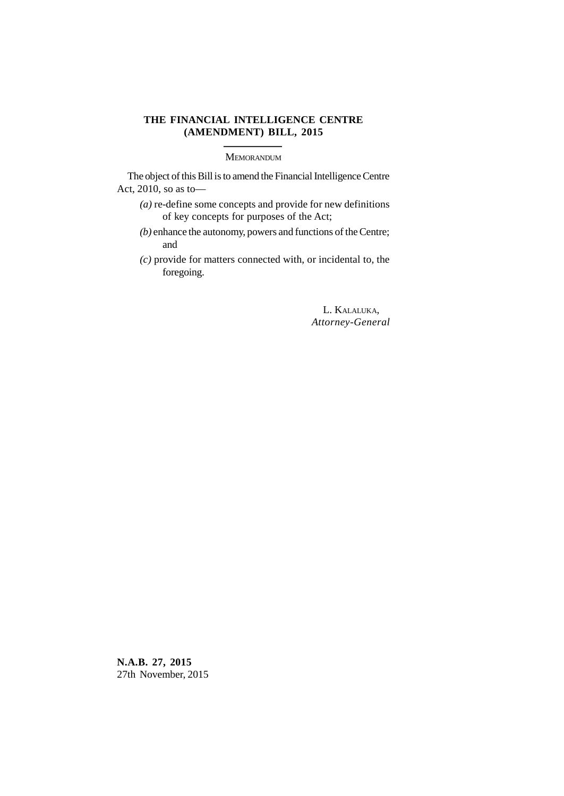# **THE FINANCIAL INTELLIGENCE CENTRE (AMENDMENT) BILL, 2015**

**MEMORANDUM** 

The object of this Bill is to amend the Financial Intelligence Centre Act, 2010, so as to—

- *(a)* re-define some concepts and provide for new definitions of key concepts for purposes of the Act;
- *(b)* enhance the autonomy, powers and functions of the Centre; and
- *(c)* provide for matters connected with, or incidental to, the foregoing.

L. KALALUKA, *Attorney-General*

**N.A.B. 27, 2015** 27th November, 2015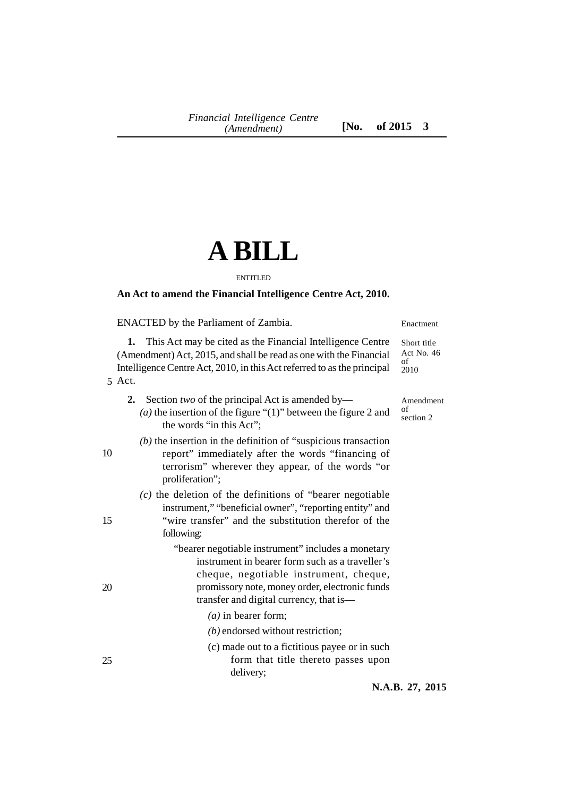# **A BILL**

#### ENTITLED

# **An Act to amend the Financial Intelligence Centre Act, 2010.**

ENACTED by the Parliament of Zambia.

Enactment

Amendment

of section 2

**1.** This Act may be cited as the Financial Intelligence Centre (Amendment)Act, 2015, and shall be read as one with the Financial Intelligence Centre Act, 2010, in this Act referred to as the principal Short title Act No. 46 of 2010

- **2.** Section *two* of the principal Act is amended by—
	- *(a)* the insertion of the figure "(1)" between the figure 2 and the words "in this Act";

# *(b)* the insertion in the definition of "suspicious transaction report" immediately after the words "financing of terrorism" wherever they appear, of the words "or proliferation";

*(c)* the deletion of the definitions of "bearer negotiable instrument," "beneficial owner", "reporting entity" and "wire transfer" and the substitution therefor of the following:

> "bearer negotiable instrument" includes a monetary instrument in bearer form such as a traveller's cheque, negotiable instrument, cheque, promissory note, money order, electronic funds transfer and digital currency, that is—

- *(a)* in bearer form;
- *(b)* endorsed without restriction;
- (c) made out to a fictitious payee or in such form that title thereto passes upon delivery;

**N.A.B. 27, 2015**

10

15

20

25

Act. 5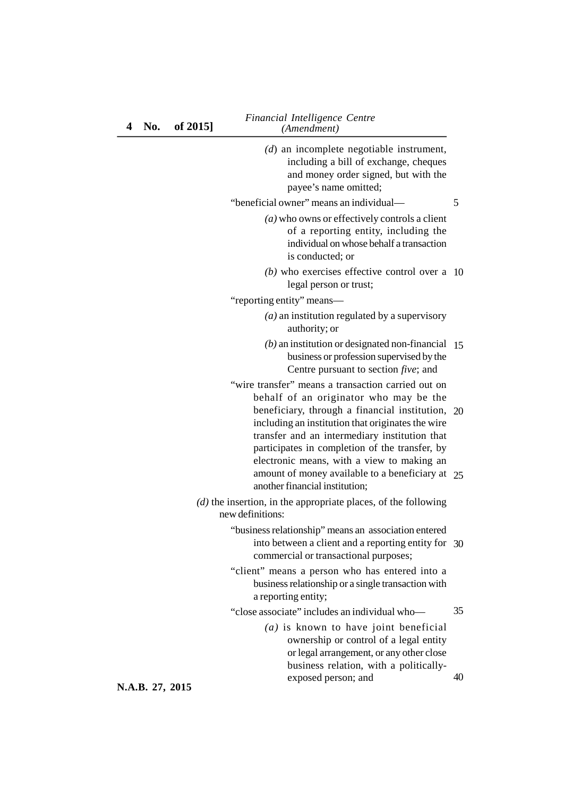*Financial Intelligence Centre* **4 No. of 2015]** *(Amendment)*

| $(d)$ an incomplete negotiable instrument,<br>including a bill of exchange, cheques<br>and money order signed, but with the<br>payee's name omitted;                                             |    |
|--------------------------------------------------------------------------------------------------------------------------------------------------------------------------------------------------|----|
| "beneficial owner" means an individual—                                                                                                                                                          | 5  |
| $(a)$ who owns or effectively controls a client<br>of a reporting entity, including the<br>individual on whose behalf a transaction<br>is conducted; or                                          |    |
| $(b)$ who exercises effective control over a                                                                                                                                                     | 10 |
| legal person or trust;                                                                                                                                                                           |    |
| "reporting entity" means-                                                                                                                                                                        |    |
| $(a)$ an institution regulated by a supervisory<br>authority; or                                                                                                                                 |    |
| $(b)$ an institution or designated non-financial<br>business or profession supervised by the<br>Centre pursuant to section five; and                                                             | 15 |
| "wire transfer" means a transaction carried out on                                                                                                                                               |    |
| behalf of an originator who may be the<br>beneficiary, through a financial institution, 20<br>including an institution that originates the wire<br>transfer and an intermediary institution that |    |
| participates in completion of the transfer, by<br>electronic means, with a view to making an<br>amount of money available to a beneficiary at $25$<br>another financial institution;             |    |
| $(d)$ the insertion, in the appropriate places, of the following<br>new definitions:                                                                                                             |    |
| "business relationship" means an association entered<br>into between a client and a reporting entity for 30<br>commercial or transactional purposes;                                             |    |
| "client" means a person who has entered into a<br>business relationship or a single transaction with<br>a reporting entity;                                                                      |    |
| "close associate" includes an individual who-                                                                                                                                                    | 35 |
| $(a)$ is known to have joint beneficial<br>ownership or control of a legal entity<br>or legal arrangement, or any other close<br>business relation, with a politically-                          |    |
| exposed person; and                                                                                                                                                                              | 40 |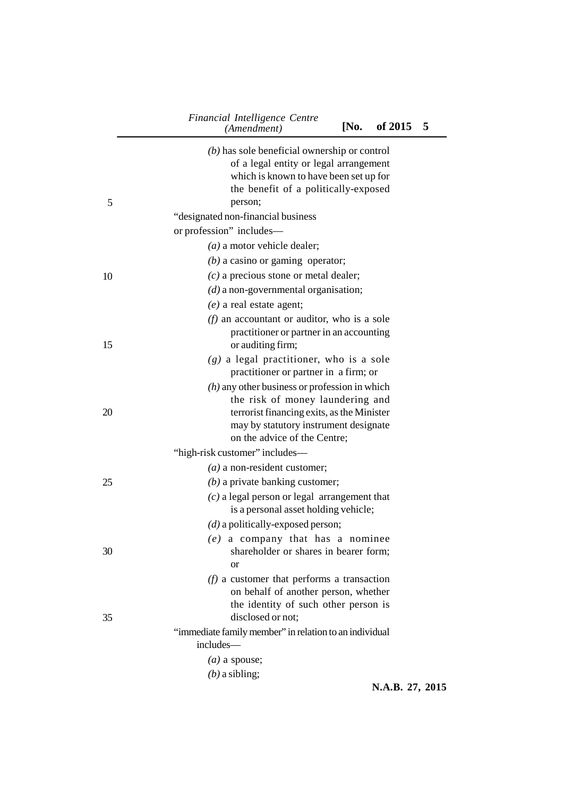| 5  | $(b)$ has sole beneficial ownership or control<br>of a legal entity or legal arrangement<br>which is known to have been set up for<br>the benefit of a politically-exposed<br>person;<br>"designated non-financial business<br>or profession" includes- |
|----|---------------------------------------------------------------------------------------------------------------------------------------------------------------------------------------------------------------------------------------------------------|
|    | $(a)$ a motor vehicle dealer;                                                                                                                                                                                                                           |
|    | $(b)$ a casino or gaming operator;                                                                                                                                                                                                                      |
| 10 | $(c)$ a precious stone or metal dealer;                                                                                                                                                                                                                 |
|    | $(d)$ a non-governmental organisation;                                                                                                                                                                                                                  |
|    | $(e)$ a real estate agent;                                                                                                                                                                                                                              |
| 15 | $(f)$ an accountant or auditor, who is a sole<br>practitioner or partner in an accounting<br>or auditing firm;                                                                                                                                          |
|    | $(g)$ a legal practitioner, who is a sole<br>practitioner or partner in a firm; or                                                                                                                                                                      |
| 20 | $(h)$ any other business or profession in which<br>the risk of money laundering and<br>terrorist financing exits, as the Minister<br>may by statutory instrument designate<br>on the advice of the Centre;                                              |
|    | "high-risk customer" includes—                                                                                                                                                                                                                          |
|    | $(a)$ a non-resident customer;                                                                                                                                                                                                                          |
| 25 | $(b)$ a private banking customer;                                                                                                                                                                                                                       |
|    | $(c)$ a legal person or legal arrangement that<br>is a personal asset holding vehicle;                                                                                                                                                                  |
|    | $(d)$ a politically-exposed person;                                                                                                                                                                                                                     |
| 30 | $(e)$ a company that has a nominee<br>shareholder or shares in bearer form;<br>or                                                                                                                                                                       |
| 35 | $(f)$ a customer that performs a transaction<br>on behalf of another person, whether<br>the identity of such other person is<br>disclosed or not:                                                                                                       |
|    | "immediate family member" in relation to an individual                                                                                                                                                                                                  |
|    | includes—                                                                                                                                                                                                                                               |
|    | $(a)$ a spouse;                                                                                                                                                                                                                                         |
|    | $(b)$ a sibling;                                                                                                                                                                                                                                        |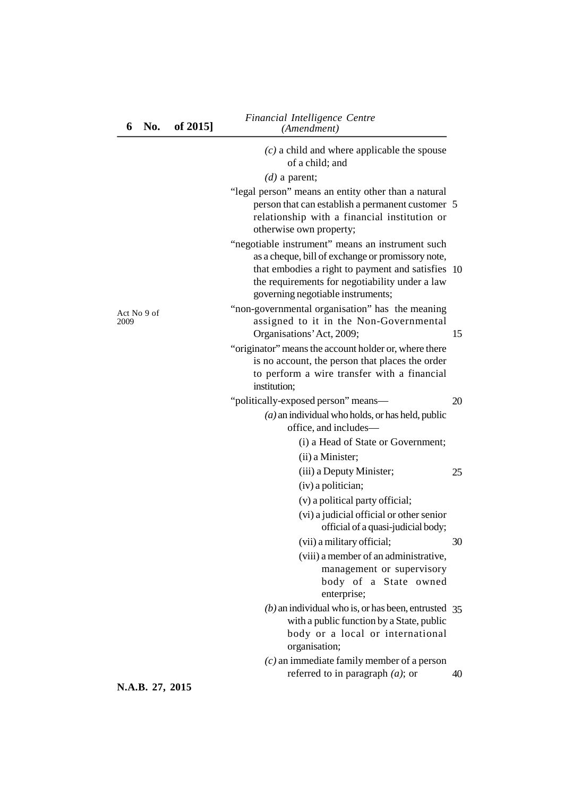|                     | $(c)$ a child and where applicable the spouse<br>of a child; and                                                                                                                                                                                  |    |
|---------------------|---------------------------------------------------------------------------------------------------------------------------------------------------------------------------------------------------------------------------------------------------|----|
|                     | $(d)$ a parent;                                                                                                                                                                                                                                   |    |
|                     | "legal person" means an entity other than a natural<br>person that can establish a permanent customer 5<br>relationship with a financial institution or<br>otherwise own property;                                                                |    |
|                     | "negotiable instrument" means an instrument such<br>as a cheque, bill of exchange or promissory note,<br>that embodies a right to payment and satisfies 10<br>the requirements for negotiability under a law<br>governing negotiable instruments; |    |
| Act No 9 of<br>2009 | "non-governmental organisation" has the meaning<br>assigned to it in the Non-Governmental<br>Organisations' Act, 2009;                                                                                                                            | 15 |
|                     | "originator" means the account holder or, where there<br>is no account, the person that places the order<br>to perform a wire transfer with a financial<br>institution;                                                                           |    |
|                     | "politically-exposed person" means-                                                                                                                                                                                                               | 20 |
|                     | $(a)$ an individual who holds, or has held, public<br>office, and includes—                                                                                                                                                                       |    |
|                     | (i) a Head of State or Government;                                                                                                                                                                                                                |    |
|                     | (ii) a Minister;                                                                                                                                                                                                                                  |    |
|                     | (iii) a Deputy Minister;                                                                                                                                                                                                                          | 25 |
|                     | (iv) a politician;                                                                                                                                                                                                                                |    |
|                     | (v) a political party official;                                                                                                                                                                                                                   |    |
|                     |                                                                                                                                                                                                                                                   |    |

**6 No. of 2015]** *(Amendment)*

*Financial Intelligence Centre*

| (vi) a judicial official or other senior |
|------------------------------------------|
| official of a quasi-judicial body;       |
| (vii) a military official;               |

30

25

20

(viii) a member of an administrative, management or supervisory body of a State owned enterprise;

- *(b)* an individual who is, or has been, entrusted 35 with a public function by a State, public body or a local or international organisation;
- *(c)* an immediate family member of a person referred to in paragraph *(a)*; or 40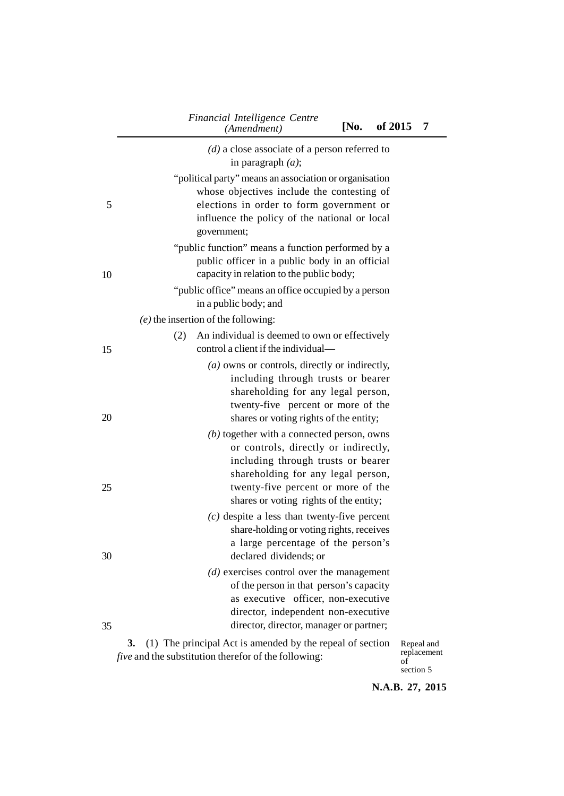|    | Financial Intelligence Centre<br>[No.<br>of 2015<br>(Amendment)                                                                                                                                                                                  |            | 7 |
|----|--------------------------------------------------------------------------------------------------------------------------------------------------------------------------------------------------------------------------------------------------|------------|---|
|    | $(d)$ a close associate of a person referred to<br>in paragraph $(a)$ ;                                                                                                                                                                          |            |   |
| 5  | "political party" means an association or organisation<br>whose objectives include the contesting of<br>elections in order to form government or<br>influence the policy of the national or local<br>government;                                 |            |   |
| 10 | "public function" means a function performed by a<br>public officer in a public body in an official<br>capacity in relation to the public body;                                                                                                  |            |   |
|    | "public office" means an office occupied by a person                                                                                                                                                                                             |            |   |
|    | in a public body; and<br>$(e)$ the insertion of the following:                                                                                                                                                                                   |            |   |
| 15 | An individual is deemed to own or effectively<br>(2)<br>control a client if the individual—                                                                                                                                                      |            |   |
| 20 | $(a)$ owns or controls, directly or indirectly,<br>including through trusts or bearer<br>shareholding for any legal person,<br>twenty-five percent or more of the<br>shares or voting rights of the entity;                                      |            |   |
| 25 | $(b)$ together with a connected person, owns<br>or controls, directly or indirectly,<br>including through trusts or bearer<br>shareholding for any legal person,<br>twenty-five percent or more of the<br>shares or voting rights of the entity; |            |   |
| 30 | $(c)$ despite a less than twenty-five percent<br>share-holding or voting rights, receives<br>a large percentage of the person's<br>declared dividends; or                                                                                        |            |   |
| 35 | $(d)$ exercises control over the management<br>of the person in that person's capacity<br>as executive officer, non-executive<br>director, independent non-executive<br>director, director, manager or partner;                                  |            |   |
|    | (1) The principal Act is amended by the repeal of section<br>3.                                                                                                                                                                                  | Repeal and |   |

*five* and the substitution therefor of the following:

Repeal and replacement of section 5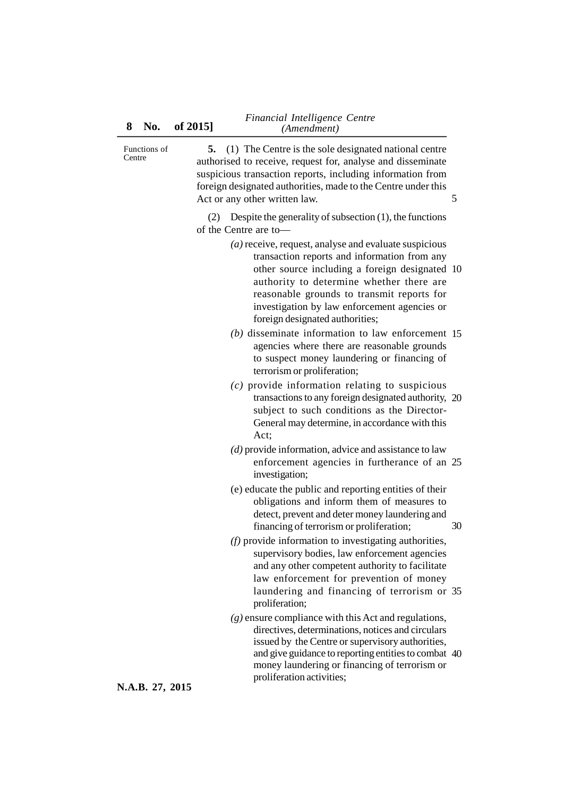| Functions of<br>Centre | 5. (1) The Centre is the sole designated national centre<br>authorised to receive, request for, analyse and disseminate<br>suspicious transaction reports, including information from<br>foreign designated authorities, made to the Centre under this<br>Act or any other written law.<br>5                                           |    |
|------------------------|----------------------------------------------------------------------------------------------------------------------------------------------------------------------------------------------------------------------------------------------------------------------------------------------------------------------------------------|----|
|                        | Despite the generality of subsection $(1)$ , the functions<br>(2)<br>of the Centre are to-                                                                                                                                                                                                                                             |    |
|                        | $(a)$ receive, request, analyse and evaluate suspicious<br>transaction reports and information from any<br>other source including a foreign designated 10<br>authority to determine whether there are<br>reasonable grounds to transmit reports for<br>investigation by law enforcement agencies or<br>foreign designated authorities; |    |
|                        | $(b)$ disseminate information to law enforcement 15<br>agencies where there are reasonable grounds<br>to suspect money laundering or financing of<br>terrorism or proliferation;                                                                                                                                                       |    |
|                        | $(c)$ provide information relating to suspicious<br>transactions to any foreign designated authority, 20<br>subject to such conditions as the Director-<br>General may determine, in accordance with this<br>Act;                                                                                                                      |    |
|                        | $(d)$ provide information, advice and assistance to law<br>enforcement agencies in furtherance of an 25<br>investigation;                                                                                                                                                                                                              |    |
|                        | (e) educate the public and reporting entities of their<br>obligations and inform them of measures to<br>detect, prevent and deter money laundering and<br>financing of terrorism or proliferation;                                                                                                                                     | 30 |
|                        | $(f)$ provide information to investigating authorities,<br>supervisory bodies, law enforcement agencies<br>and any other competent authority to facilitate<br>law enforcement for prevention of money<br>laundering and financing of terrorism or 35<br>proliferation;                                                                 |    |
|                        | $(g)$ ensure compliance with this Act and regulations,<br>directives, determinations, notices and circulars<br>issued by the Centre or supervisory authorities,<br>and give guidance to reporting entities to combat 40<br>money laundering or financing of terrorism or<br>proliferation activities;                                  |    |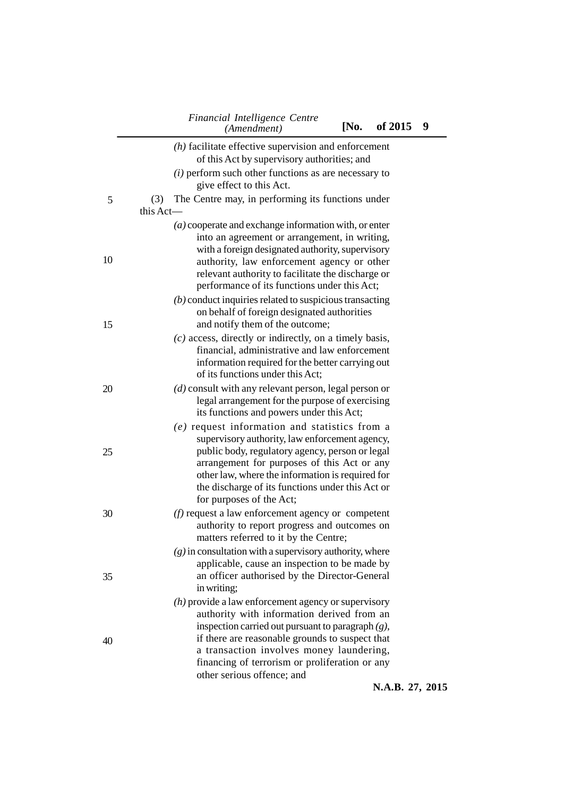|    | Financial Intelligence Centre<br>[No.<br>(Amendment)                                                                                                                                                                                                                                                                                       | of 2015        | 9          |
|----|--------------------------------------------------------------------------------------------------------------------------------------------------------------------------------------------------------------------------------------------------------------------------------------------------------------------------------------------|----------------|------------|
|    | $(h)$ facilitate effective supervision and enforcement<br>of this Act by supervisory authorities; and                                                                                                                                                                                                                                      |                |            |
|    | $(i)$ perform such other functions as are necessary to<br>give effect to this Act.                                                                                                                                                                                                                                                         |                |            |
| 5  | The Centre may, in performing its functions under<br>(3)<br>this Act-                                                                                                                                                                                                                                                                      |                |            |
|    | $(a)$ cooperate and exchange information with, or enter<br>into an agreement or arrangement, in writing,                                                                                                                                                                                                                                   |                |            |
| 10 | with a foreign designated authority, supervisory<br>authority, law enforcement agency or other<br>relevant authority to facilitate the discharge or<br>performance of its functions under this Act;                                                                                                                                        |                |            |
| 15 | $(b)$ conduct inquiries related to suspicious transacting<br>on behalf of foreign designated authorities<br>and notify them of the outcome;                                                                                                                                                                                                |                |            |
|    | $(c)$ access, directly or indirectly, on a timely basis,<br>financial, administrative and law enforcement<br>information required for the better carrying out<br>of its functions under this Act;                                                                                                                                          |                |            |
| 20 | $(d)$ consult with any relevant person, legal person or<br>legal arrangement for the purpose of exercising<br>its functions and powers under this Act;                                                                                                                                                                                     |                |            |
| 25 | $(e)$ request information and statistics from a<br>supervisory authority, law enforcement agency,<br>public body, regulatory agency, person or legal<br>arrangement for purposes of this Act or any<br>other law, where the information is required for<br>the discharge of its functions under this Act or<br>for purposes of the Act;    |                |            |
| 30 | $(f)$ request a law enforcement agency or competent<br>authority to report progress and outcomes on<br>matters referred to it by the Centre;                                                                                                                                                                                               |                |            |
| 35 | $(g)$ in consultation with a supervisory authority, where<br>applicable, cause an inspection to be made by<br>an officer authorised by the Director-General<br>in writing;                                                                                                                                                                 |                |            |
| 40 | $(h)$ provide a law enforcement agency or supervisory<br>authority with information derived from an<br>inspection carried out pursuant to paragraph $(g)$ ,<br>if there are reasonable grounds to suspect that<br>a transaction involves money laundering,<br>financing of terrorism or proliferation or any<br>other serious offence; and |                |            |
|    |                                                                                                                                                                                                                                                                                                                                            | <b>AF</b><br>D | <b>301</b> |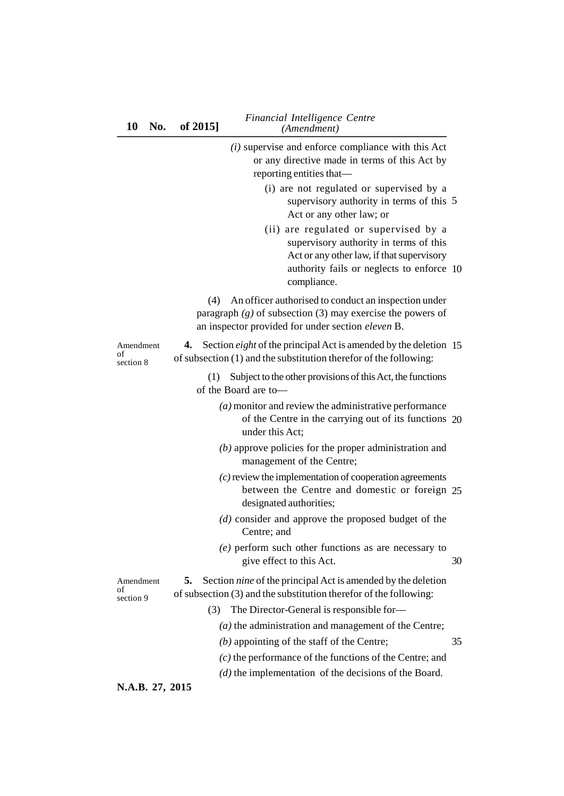|                              | $(i)$ supervise and enforce compliance with this Act<br>or any directive made in terms of this Act by<br>reporting entities that-                                                        |    |
|------------------------------|------------------------------------------------------------------------------------------------------------------------------------------------------------------------------------------|----|
|                              | (i) are not regulated or supervised by a<br>supervisory authority in terms of this 5<br>Act or any other law; or                                                                         |    |
|                              | (ii) are regulated or supervised by a<br>supervisory authority in terms of this<br>Act or any other law, if that supervisory<br>authority fails or neglects to enforce 10<br>compliance. |    |
|                              | An officer authorised to conduct an inspection under<br>(4)<br>paragraph $(g)$ of subsection (3) may exercise the powers of<br>an inspector provided for under section eleven B.         |    |
| Amendment<br>of<br>section 8 | Section <i>eight</i> of the principal Act is amended by the deletion 15<br>4.<br>of subsection (1) and the substitution therefor of the following:                                       |    |
|                              | Subject to the other provisions of this Act, the functions<br>(1)<br>of the Board are to-                                                                                                |    |
|                              | $(a)$ monitor and review the administrative performance<br>of the Centre in the carrying out of its functions 20<br>under this Act;                                                      |    |
|                              | $(b)$ approve policies for the proper administration and<br>management of the Centre;                                                                                                    |    |
|                              | $(c)$ review the implementation of cooperation agreements<br>between the Centre and domestic or foreign 25<br>designated authorities;                                                    |    |
|                              | $(d)$ consider and approve the proposed budget of the<br>Centre; and                                                                                                                     |    |
|                              | $(e)$ perform such other functions as are necessary to<br>give effect to this Act.                                                                                                       | 30 |
| Amendment<br>of<br>section 9 | Section <i>nine</i> of the principal Act is amended by the deletion<br>5.<br>of subsection (3) and the substitution therefor of the following:                                           |    |
|                              | The Director-General is responsible for-<br>(3)                                                                                                                                          |    |
|                              | $(a)$ the administration and management of the Centre;                                                                                                                                   |    |
|                              | $(b)$ appointing of the staff of the Centre;                                                                                                                                             | 35 |
|                              | $(c)$ the performance of the functions of the Centre; and                                                                                                                                |    |
|                              | $(d)$ the implementation of the decisions of the Board.                                                                                                                                  |    |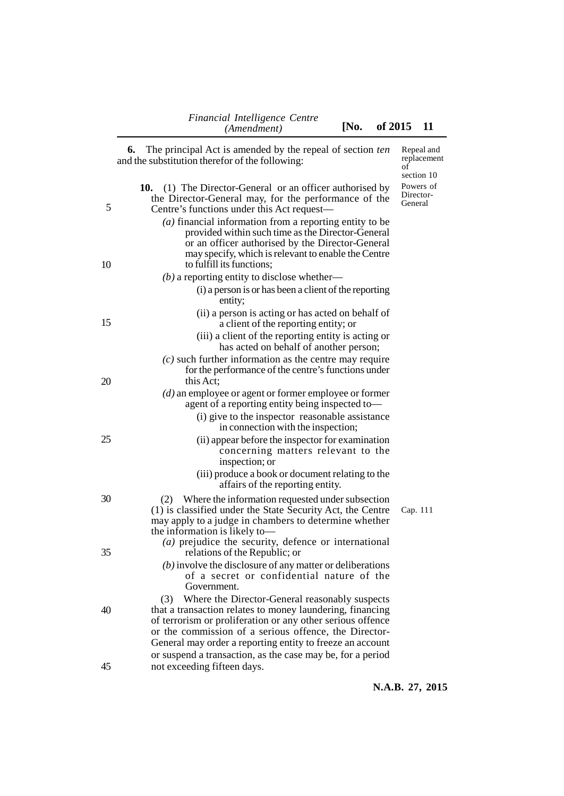of section 10

**6.** The principal Act is amended by the repeal of section *ten* and the substitution therefor of the following:

| 5  | (1) The Director-General or an officer authorised by<br>10.<br>the Director-General may, for the performance of the<br>Centre's functions under this Act request—                                                                                                                                                                                                    | Powers of<br>Director-<br>General |
|----|----------------------------------------------------------------------------------------------------------------------------------------------------------------------------------------------------------------------------------------------------------------------------------------------------------------------------------------------------------------------|-----------------------------------|
| 10 | $(a)$ financial information from a reporting entity to be<br>provided within such time as the Director-General<br>or an officer authorised by the Director-General<br>may specify, which is relevant to enable the Centre<br>to fulfill its functions;                                                                                                               |                                   |
|    | $(b)$ a reporting entity to disclose whether—                                                                                                                                                                                                                                                                                                                        |                                   |
|    | (i) a person is or has been a client of the reporting<br>entity;                                                                                                                                                                                                                                                                                                     |                                   |
| 15 | (ii) a person is acting or has acted on behalf of<br>a client of the reporting entity; or                                                                                                                                                                                                                                                                            |                                   |
|    | (iii) a client of the reporting entity is acting or<br>has acted on behalf of another person;                                                                                                                                                                                                                                                                        |                                   |
| 20 | $(c)$ such further information as the centre may require<br>for the performance of the centre's functions under<br>this Act;                                                                                                                                                                                                                                         |                                   |
|    | $(d)$ an employee or agent or former employee or former<br>agent of a reporting entity being inspected to-                                                                                                                                                                                                                                                           |                                   |
|    | (i) give to the inspector reasonable assistance<br>in connection with the inspection;                                                                                                                                                                                                                                                                                |                                   |
| 25 | (ii) appear before the inspector for examination<br>concerning matters relevant to the<br>inspection; or                                                                                                                                                                                                                                                             |                                   |
|    | (iii) produce a book or document relating to the<br>affairs of the reporting entity.                                                                                                                                                                                                                                                                                 |                                   |
| 30 | Where the information requested under subsection<br>(2)<br>(1) is classified under the State Security Act, the Centre<br>may apply to a judge in chambers to determine whether<br>the information is likely to-                                                                                                                                                      | Cap. 111                          |
| 35 | $(a)$ prejudice the security, defence or international<br>relations of the Republic; or                                                                                                                                                                                                                                                                              |                                   |
|    | $(b)$ involve the disclosure of any matter or deliberations<br>of a secret or confidential nature of the<br>Government.                                                                                                                                                                                                                                              |                                   |
| 40 | Where the Director-General reasonably suspects<br>(3)<br>that a transaction relates to money laundering, financing<br>of terrorism or proliferation or any other serious offence<br>or the commission of a serious offence, the Director-<br>General may order a reporting entity to freeze an account<br>or suspend a transaction, as the case may be, for a period |                                   |
| 45 | not exceeding fifteen days.                                                                                                                                                                                                                                                                                                                                          |                                   |

Repeal and replacement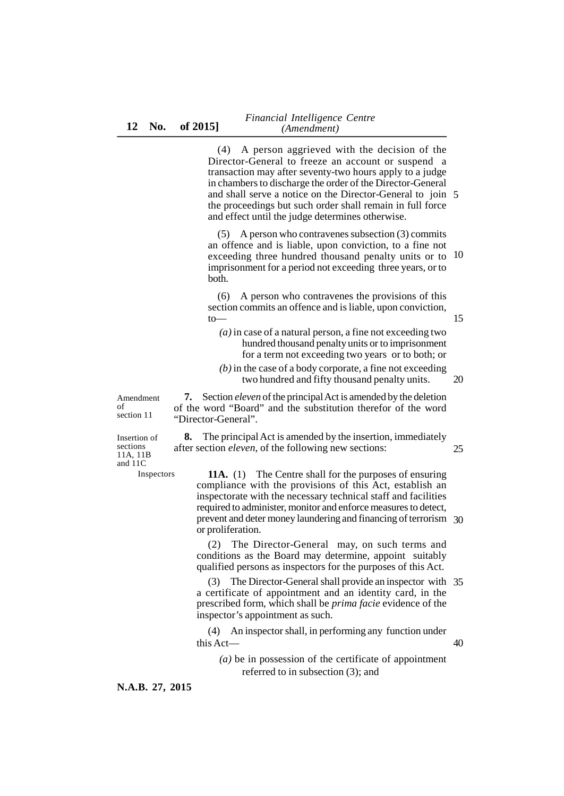(4) A person aggrieved with the decision of the Director-General to freeze an account or suspend a transaction may after seventy-two hours apply to a judge in chambers to discharge the order of the Director-General and shall serve a notice on the Director-General to join 5 the proceedings but such order shall remain in full force and effect until the judge determines otherwise.

(5) A person who contravenes subsection (3) commits an offence and is liable, upon conviction, to a fine not exceeding three hundred thousand penalty units or to 10 imprisonment for a period not exceeding three years, or to both.

(6) A person who contravenes the provisions of this section commits an offence and is liable, upon conviction, to—

*(a)* in case of a natural person, a fine not exceeding two hundred thousand penalty units or to imprisonment for a term not exceeding two years or to both; or

15

*(b)* in the case of a body corporate, a fine not exceeding two hundred and fifty thousand penalty units. 20

Amendment of section 11

**7.** Section *eleven* of the principal Act is amended by the deletion of the word "Board" and the substitution therefor of the word "Director-General".

Insertion of sections 11A, 11B and 11C

Inspectors

**8.** The principal Act is amended by the insertion, immediately after section *eleven*, of the following new sections: **11A.** (1) The Centre shall for the purposes of ensuring 25

compliance with the provisions of this Act, establish an inspectorate with the necessary technical staff and facilities required to administer, monitor and enforce measures to detect, prevent and deter money laundering and financing of terrorism 30 or proliferation.

(2) The Director-General may, on such terms and conditions as the Board may determine, appoint suitably qualified persons as inspectors for the purposes of this Act.

(3) The Director-General shall provide an inspector with 35 a certificate of appointment and an identity card, in the prescribed form, which shall be *prima facie* evidence of the inspector's appointment as such.

(4) An inspector shall, in performing any function under this Act— 40

*(a)* be in possession of the certificate of appointment referred to in subsection (3); and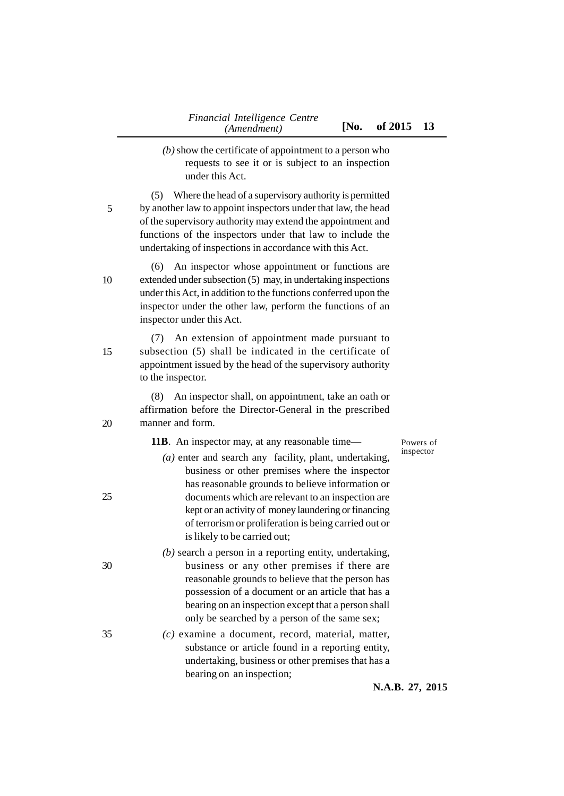- *(b)* show the certificate of appointment to a person who requests to see it or is subject to an inspection under this Act.
- (5) Where the head of a supervisory authority is permitted by another law to appoint inspectors under that law, the head of the supervisory authority may extend the appointment and functions of the inspectors under that law to include the undertaking of inspections in accordance with this Act. 5
- (6) An inspector whose appointment or functions are extended under subsection (5) may, in undertaking inspections under this Act, in addition to the functions conferred upon the inspector under the other law, perform the functions of an inspector under this Act. 10

(7) An extension of appointment made pursuant to subsection (5) shall be indicated in the certificate of appointment issued by the head of the supervisory authority to the inspector.

(8) An inspector shall, on appointment, take an oath or affirmation before the Director-General in the prescribed manner and form.

#### **11B**. An inspector may, at any reasonable time—

Powers of inspector

- *(a)* enter and search any facility, plant, undertaking, business or other premises where the inspector has reasonable grounds to believe information or documents which are relevant to an inspection are kept or an activity of money laundering or financing of terrorism or proliferation is being carried out or is likely to be carried out;
- *(b)* search a person in a reporting entity, undertaking, business or any other premises if there are reasonable grounds to believe that the person has possession of a document or an article that has a bearing on an inspection except that a person shall only be searched by a person of the same sex;
- *(c)* examine a document, record, material, matter, substance or article found in a reporting entity, undertaking, business or other premises that has a bearing on an inspection;

**N.A.B. 27, 2015**

20

25

30

35

15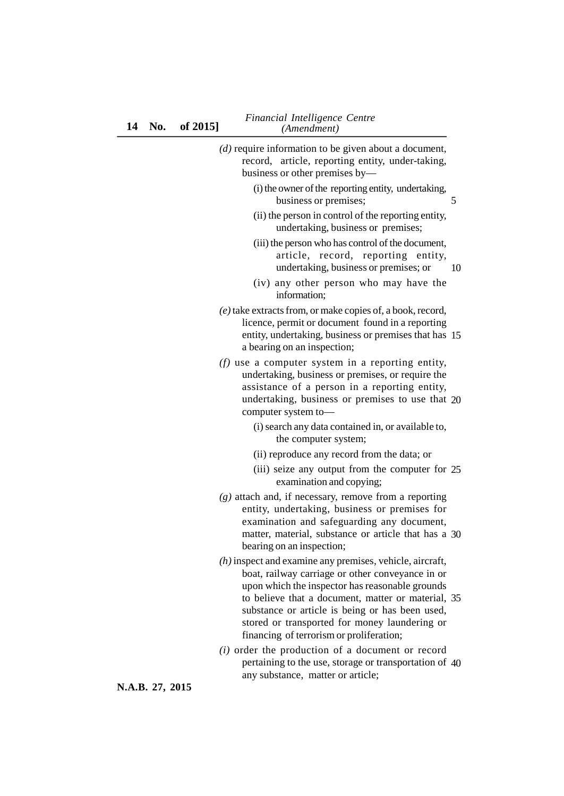| $(d)$ require information to be given about a document,<br>record, article, reporting entity, under-taking,<br>business or other premises by-                                                                                                                                                                                                                           |    |
|-------------------------------------------------------------------------------------------------------------------------------------------------------------------------------------------------------------------------------------------------------------------------------------------------------------------------------------------------------------------------|----|
| (i) the owner of the reporting entity, undertaking,<br>business or premises;                                                                                                                                                                                                                                                                                            | 5  |
| (ii) the person in control of the reporting entity,<br>undertaking, business or premises;                                                                                                                                                                                                                                                                               |    |
| (iii) the person who has control of the document,<br>article, record, reporting entity,<br>undertaking, business or premises; or                                                                                                                                                                                                                                        | 10 |
| (iv) any other person who may have the<br>information;                                                                                                                                                                                                                                                                                                                  |    |
| (e) take extracts from, or make copies of, a book, record,<br>licence, permit or document found in a reporting<br>entity, undertaking, business or premises that has 15<br>a bearing on an inspection;                                                                                                                                                                  |    |
| $(f)$ use a computer system in a reporting entity,<br>undertaking, business or premises, or require the<br>assistance of a person in a reporting entity,<br>undertaking, business or premises to use that 20<br>computer system to-                                                                                                                                     |    |
| (i) search any data contained in, or available to,<br>the computer system;                                                                                                                                                                                                                                                                                              |    |
| (ii) reproduce any record from the data; or                                                                                                                                                                                                                                                                                                                             |    |
| (iii) seize any output from the computer for 25<br>examination and copying;                                                                                                                                                                                                                                                                                             |    |
| $(g)$ attach and, if necessary, remove from a reporting<br>entity, undertaking, business or premises for<br>examination and safeguarding any document,<br>matter, material, substance or article that has a 30<br>bearing on an inspection;                                                                                                                             |    |
| $(h)$ inspect and examine any premises, vehicle, aircraft,<br>boat, railway carriage or other conveyance in or<br>upon which the inspector has reasonable grounds<br>to believe that a document, matter or material, 35<br>substance or article is being or has been used,<br>stored or transported for money laundering or<br>financing of terrorism or proliferation; |    |
| $(i)$ order the production of a document or record<br>pertaining to the use, storage or transportation of 40                                                                                                                                                                                                                                                            |    |

any substance, matter or article;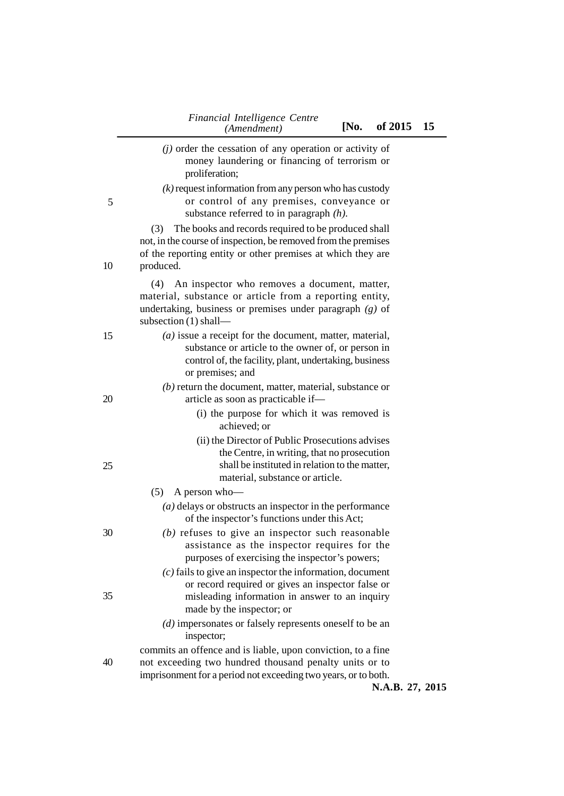|    | (Amendment)<br>INO.<br>01 ZU15                                                                                                                                                                           | 15 |
|----|----------------------------------------------------------------------------------------------------------------------------------------------------------------------------------------------------------|----|
|    | $(j)$ order the cessation of any operation or activity of<br>money laundering or financing of terrorism or<br>proliferation;                                                                             |    |
| 5  | $(k)$ request information from any person who has custody<br>or control of any premises, conveyance or<br>substance referred to in paragraph $(h)$ .                                                     |    |
| 10 | The books and records required to be produced shall<br>(3)<br>not, in the course of inspection, be removed from the premises<br>of the reporting entity or other premises at which they are<br>produced. |    |
|    | (4) An inspector who removes a document, matter,<br>material, substance or article from a reporting entity,<br>undertaking, business or premises under paragraph $(g)$ of<br>subsection $(1)$ shall-     |    |
| 15 | $(a)$ issue a receipt for the document, matter, material,<br>substance or article to the owner of, or person in<br>control of, the facility, plant, undertaking, business<br>or premises; and            |    |
| 20 | $(b)$ return the document, matter, material, substance or<br>article as soon as practicable if-<br>(i) the purpose for which it was removed is<br>achieved; or                                           |    |
| 25 | (ii) the Director of Public Prosecutions advises<br>the Centre, in writing, that no prosecution<br>shall be instituted in relation to the matter,<br>material, substance or article.                     |    |
|    | A person who-<br>(5)                                                                                                                                                                                     |    |
|    | $(a)$ delays or obstructs an inspector in the performance<br>of the inspector's functions under this Act;                                                                                                |    |
| 30 | $(b)$ refuses to give an inspector such reasonable<br>assistance as the inspector requires for the<br>purposes of exercising the inspector's powers;                                                     |    |
| 35 | $(c)$ fails to give an inspector the information, document<br>or record required or gives an inspector false or<br>misleading information in answer to an inquiry<br>made by the inspector; or           |    |
|    | $(d)$ impersonates or falsely represents oneself to be an<br>inspector;<br>commits an offence and is liable, upon conviction, to a fine                                                                  |    |
| 40 | not exceeding two hundred thousand penalty units or to<br>imprisonment for a period not exceeding two years, or to both.<br>N.A.B. 27, 2015                                                              |    |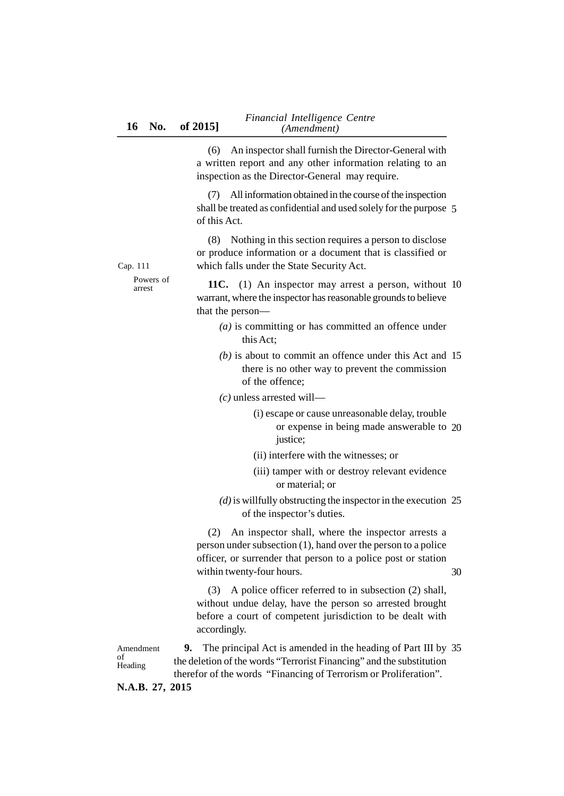(6) An inspector shall furnish the Director-General with a written report and any other information relating to an inspection as the Director-General may require.

(7) All information obtained in the course of the inspection shall be treated as confidential and used solely for the purpose 5 of this Act.

(8) Nothing in this section requires a person to disclose or produce information or a document that is classified or which falls under the State Security Act.

Cap. 111 Powers of arrest

**11C.** (1) An inspector may arrest a person, without 10 warrant, where the inspector has reasonable grounds to believe that the person—

- *(a)* is committing or has committed an offence under this Act;
- *(b)* is about to commit an offence under this Act and 15 there is no other way to prevent the commission of the offence;

### *(c)* unless arrested will—

- (i) escape or cause unreasonable delay, trouble or expense in being made answerable to 20 justice;
- (ii) interfere with the witnesses; or
- (iii) tamper with or destroy relevant evidence or material; or
- *(d)* is willfully obstructing the inspector in the execution 25 of the inspector's duties.

(2) An inspector shall, where the inspector arrests a person under subsection (1), hand over the person to a police officer, or surrender that person to a police post or station within twenty-four hours.

30

(3) A police officer referred to in subsection (2) shall, without undue delay, have the person so arrested brought before a court of competent jurisdiction to be dealt with accordingly.

**9.** The principal Act is amended in the heading of Part III by 35the deletion of the words "Terrorist Financing" and the substitution therefor of the words "Financing of Terrorism or Proliferation". Amendment of Heading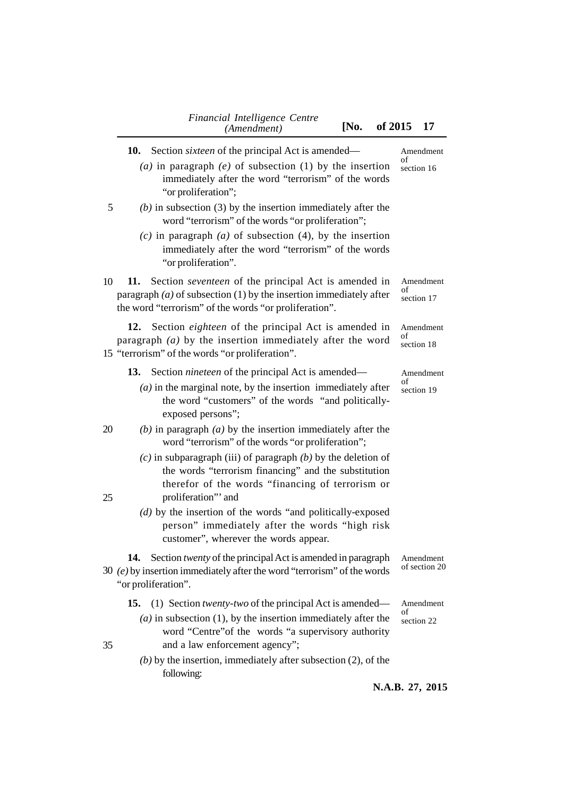|    | Financial Intelligence Centre<br>[No.<br>(Amendment)                                                                                                                                                                                                                 | of 2015<br>17                 |
|----|----------------------------------------------------------------------------------------------------------------------------------------------------------------------------------------------------------------------------------------------------------------------|-------------------------------|
|    | 10.<br>Section <i>sixteen</i> of the principal Act is amended—<br>(a) in paragraph (e) of subsection (1) by the insertion<br>immediately after the word "terrorism" of the words<br>"or proliferation";                                                              | Amendment<br>of<br>section 16 |
| 5  | $(b)$ in subsection (3) by the insertion immediately after the<br>word "terrorism" of the words "or proliferation";<br>$(c)$ in paragraph $(a)$ of subsection $(4)$ , by the insertion<br>immediately after the word "terrorism" of the words<br>"or proliferation". |                               |
| 10 | 11.<br>Section <i>seventeen</i> of the principal Act is amended in<br>paragraph $(a)$ of subsection (1) by the insertion immediately after<br>the word "terrorism" of the words "or proliferation".                                                                  | Amendment<br>of<br>section 17 |
|    | 12.<br>Section eighteen of the principal Act is amended in<br>paragraph $(a)$ by the insertion immediately after the word<br>15 "terrorism" of the words "or proliferation".                                                                                         | Amendment<br>of<br>section 18 |
|    | 13.<br>Section <i>nineteen</i> of the principal Act is amended—<br>$(a)$ in the marginal note, by the insertion immediately after<br>the word "customers" of the words "and politically-<br>exposed persons";                                                        | Amendment<br>of<br>section 19 |
| 20 | (b) in paragraph $(a)$ by the insertion immediately after the<br>word "terrorism" of the words "or proliferation";                                                                                                                                                   |                               |
| 25 | $(c)$ in subparagraph (iii) of paragraph $(b)$ by the deletion of<br>the words "terrorism financing" and the substitution<br>therefor of the words "financing of terrorism or<br>proliferation" and                                                                  |                               |
|    | $(d)$ by the insertion of the words "and politically-exposed<br>person" immediately after the words "high risk<br>customer", wherever the words appear.                                                                                                              |                               |
|    | Section <i>twenty</i> of the principal Act is amended in paragraph<br>14.<br>30 $(e)$ by insertion immediately after the word "terrorism" of the words<br>"or proliferation".                                                                                        | Amendment<br>of section 20    |
|    | (1) Section <i>twenty-two</i> of the principal Act is amended—<br>15.<br>$(a)$ in subsection (1), by the insertion immediately after the<br>word "Centre" of the words "a supervisory authority                                                                      | Amendment<br>οf<br>section 22 |
| 35 | and a law enforcement agency";<br>$(b)$ by the insertion, immediately after subsection (2), of the<br>following:                                                                                                                                                     |                               |
|    |                                                                                                                                                                                                                                                                      | N.A.B. 27, 2015               |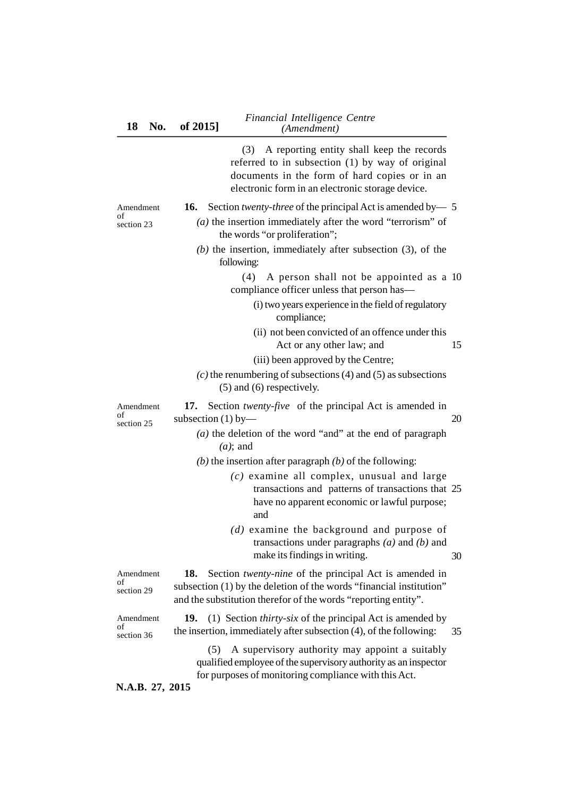(3) A reporting entity shall keep the records referred to in subsection (1) by way of original documents in the form of hard copies or in an electronic form in an electronic storage device.

|  |  |  |  | <b>16.</b> Section <i>twenty-three</i> of the principal Act is amended by $-$ 5 |
|--|--|--|--|---------------------------------------------------------------------------------|
|--|--|--|--|---------------------------------------------------------------------------------|

Amendment of section 23

of

| (a) the insertion immediately after the word "terrorism" of   |  |
|---------------------------------------------------------------|--|
| the words "or proliferation";                                 |  |
| $(b)$ the insertion, immediately after subsection (3), of the |  |

following:

(4) A person shall not be appointed as a 10 compliance officer unless that person has—

- (i) two years experience in the field of regulatory compliance;
- (ii) not been convicted of an offence under this Act or any other law; and 15

20

- (iii) been approved by the Centre;
- *(c)* the renumbering of subsections (4) and (5) as subsections (5) and (6) respectively.

**17.** Section *twenty-five* of the principal Act is amended in subsection  $(1)$  by— Amendment section 25

- *(a)* the deletion of the word "and" at the end of paragraph *(a)*; and
- *(b)* the insertion after paragraph *(b)* of the following:
	- *(c)* examine all complex, unusual and large transactions and patterns of transactions that 25 have no apparent economic or lawful purpose; and
	- *(d)* examine the background and purpose of transactions under paragraphs *(a)* and *(b)* and make its findings in writing. 30

**18.** Section *twenty-nine* of the principal Act is amended in subsection (1) by the deletion of the words "financial institution" and the substitution therefor of the words "reporting entity". Amendment section 29

Amendment of section 36

of

**19.** (1) Section *thirty-six* of the principal Act is amended by the insertion, immediately after subsection (4), of the following: 35

(5) A supervisory authority may appoint a suitably qualified employee of the supervisory authority as an inspector for purposes of monitoring compliance with this Act.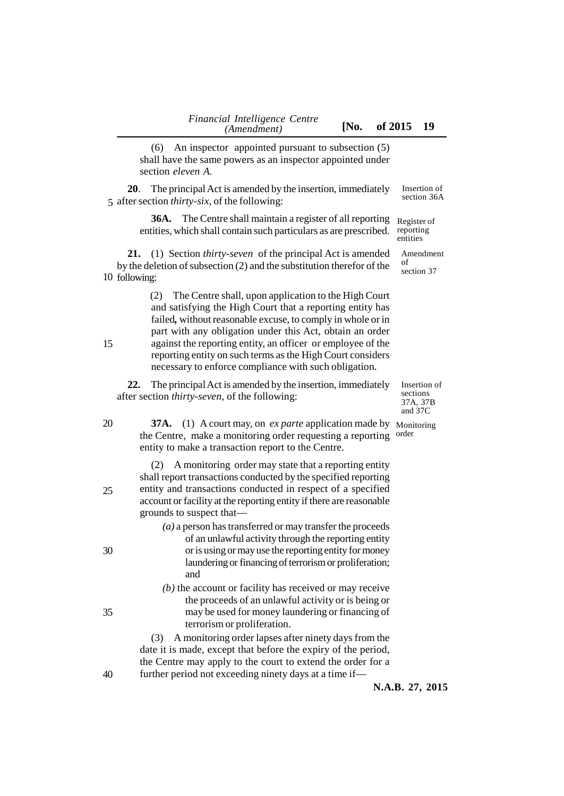(6) An inspector appointed pursuant to subsection (5) shall have the same powers as an inspector appointed under section *eleven A.* **20**. The principal Act is amended by the insertion, immediately 5 after section *thirty-six*, of the following: **36A.** The Centre shall maintain a register of all reporting entities, which shall contain such particulars as are prescribed. **21.** (1) Section *thirty-seven* of the principal Act is amended by the deletion of subsection (2) and the substitution therefor of the 10 following: (2) The Centre shall, upon application to the High Court and satisfying the High Court that a reporting entity has failed*,* without reasonable excuse, to comply in whole or in part with any obligation under this Act, obtain an order against the reporting entity, an officer or employee of the reporting entity on such terms as the High Court considers necessary to enforce compliance with such obligation. **22.** The principal Act is amended by the insertion, immediately after section *thirty-seven*, of the following: **37A.** (1) A court may, on *ex parte* application made by Monitoring the Centre, make a monitoring order requesting a reporting entity to make a transaction report to the Centre. (2) A monitoring order may state that a reporting entity shall report transactions conducted by the specified reporting entity and transactions conducted in respect of a specified account or facility at the reporting entity if there are reasonable grounds to suspect that— *(a)* a person has transferred or may transfer the proceeds of an unlawful activity through the reporting entity or is using or may use the reporting entity for money laundering or financing of terrorism or proliferation; and *(b)* the account or facility has received or may receive the proceeds of an unlawful activity or is being or may be used for money laundering or financing of terrorism or proliferation. (3) A monitoring order lapses after ninety days from the date it is made, except that before the expiry of the period, the Centre may apply to the court to extend the order for a further period not exceeding ninety days at a time if— **N.A.B. 27, 2015** Insertion of section 36A Register of reporting entities Amendment of section 37 Insertion of sections 37A, 37B and 37C order 15 20 25 30 35 40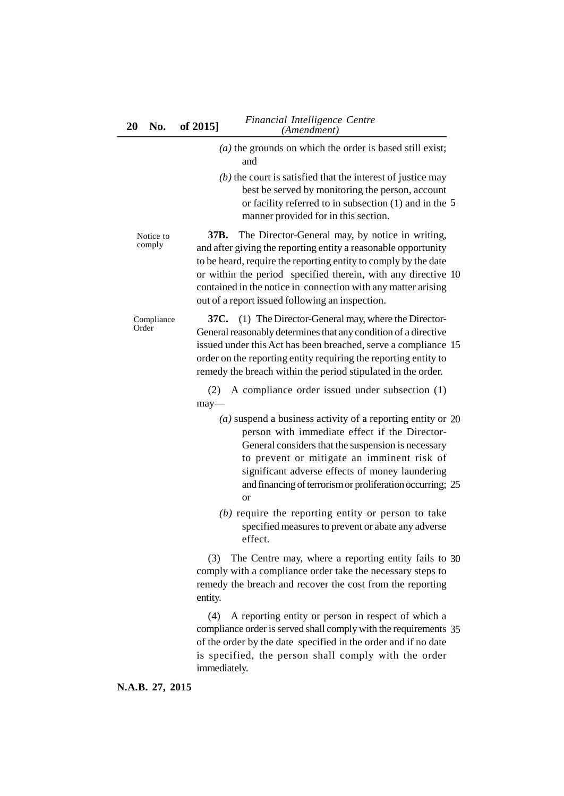|                     | $(a)$ the grounds on which the order is based still exist;<br>and                                                                                                                                                                                                                                                                                                                 |
|---------------------|-----------------------------------------------------------------------------------------------------------------------------------------------------------------------------------------------------------------------------------------------------------------------------------------------------------------------------------------------------------------------------------|
|                     | $(b)$ the court is satisfied that the interest of justice may<br>best be served by monitoring the person, account<br>or facility referred to in subsection $(1)$ and in the 5<br>manner provided for in this section.                                                                                                                                                             |
| Notice to<br>comply | The Director-General may, by notice in writing,<br>37B.<br>and after giving the reporting entity a reasonable opportunity<br>to be heard, require the reporting entity to comply by the date<br>or within the period specified therein, with any directive 10<br>contained in the notice in connection with any matter arising<br>out of a report issued following an inspection. |
| Compliance<br>Order | 37C. (1) The Director-General may, where the Director-<br>General reasonably determines that any condition of a directive<br>issued under this Act has been breached, serve a compliance 15<br>order on the reporting entity requiring the reporting entity to<br>remedy the breach within the period stipulated in the order.                                                    |
|                     | A compliance order issued under subsection (1)<br>(2)<br>$may-$                                                                                                                                                                                                                                                                                                                   |
|                     | $(a)$ suspend a business activity of a reporting entity or 20<br>person with immediate effect if the Director-<br>General considers that the suspension is necessary<br>to prevent or mitigate an imminent risk of<br>significant adverse effects of money laundering<br>and financing of terrorism or proliferation occurring; 25<br><b>or</b>                                   |
|                     | $(b)$ require the reporting entity or person to take<br>specified measures to prevent or abate any adverse<br>effect.                                                                                                                                                                                                                                                             |
|                     | (3)<br>The Centre may, where a reporting entity fails to 30<br>comply with a compliance order take the necessary steps to<br>remedy the breach and recover the cost from the reporting<br>entity.                                                                                                                                                                                 |
|                     | A reporting entity or person in respect of which a<br>(4)<br>compliance order is served shall comply with the requirements 35<br>of the order by the date specified in the order and if no date<br>is specified, the person shall comply with the order<br>immediately.                                                                                                           |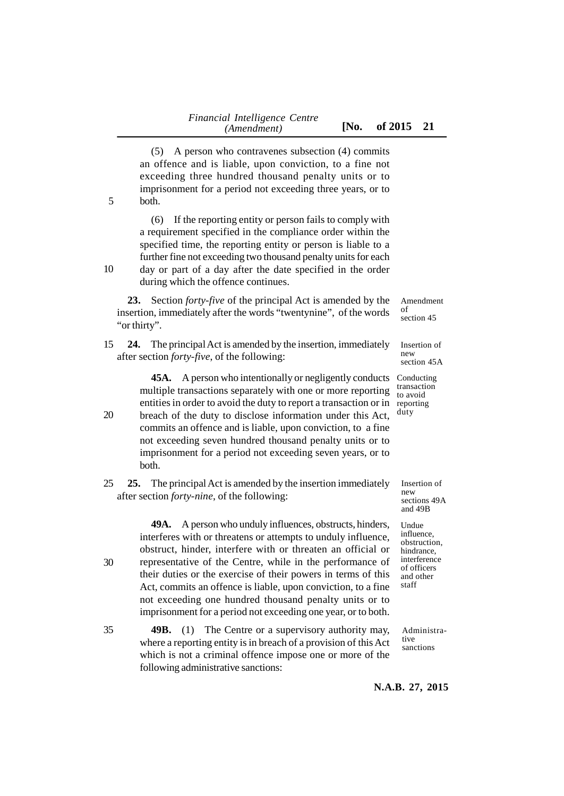(5) A person who contravenes subsection (4) commits an offence and is liable, upon conviction, to a fine not exceeding three hundred thousand penalty units or to imprisonment for a period not exceeding three years, or to

both. 5

30

(6) If the reporting entity or person fails to comply with a requirement specified in the compliance order within the specified time, the reporting entity or person is liable to a further fine not exceeding two thousand penalty units for each

day or part of a day after the date specified in the order during which the offence continues. 10

**23.** Section *forty-five* of the principal Act is amended by the insertion, immediately after the words "twentynine", of the words "or thirty".

**24.** The principal Act is amended by the insertion, immediately after section *forty-five*, of the following: 15

> **45A.** A person who intentionally or negligently conducts multiple transactions separately with one or more reporting entities in order to avoid the duty to report a transaction or in

- breach of the duty to disclose information under this Act, commits an offence and is liable, upon conviction, to a fine not exceeding seven hundred thousand penalty units or to imprisonment for a period not exceeding seven years, or to both. 20
- **25.** The principal Act is amended by the insertion immediately after section *forty-nine*, of the following: 25

**49A.** A person who unduly influences, obstructs, hinders, interferes with or threatens or attempts to unduly influence, obstruct, hinder, interfere with or threaten an official or representative of the Centre, while in the performance of their duties or the exercise of their powers in terms of this Act, commits an offence is liable, upon conviction, to a fine not exceeding one hundred thousand penalty units or to imprisonment for a period not exceeding one year, or to both.

**49B.** (1) The Centre or a supervisory authority may, where a reporting entity is in breach of a provision of this Act which is not a criminal offence impose one or more of the following administrative sanctions: 35

Amendment of section 45

Insertion of new section 45A

Conducting transaction to avoid reporting duty

> Insertion of new sections 49A and 49B

Undue influence, obstruction, hindrance, interference of officers and other staff

Administrative sanctions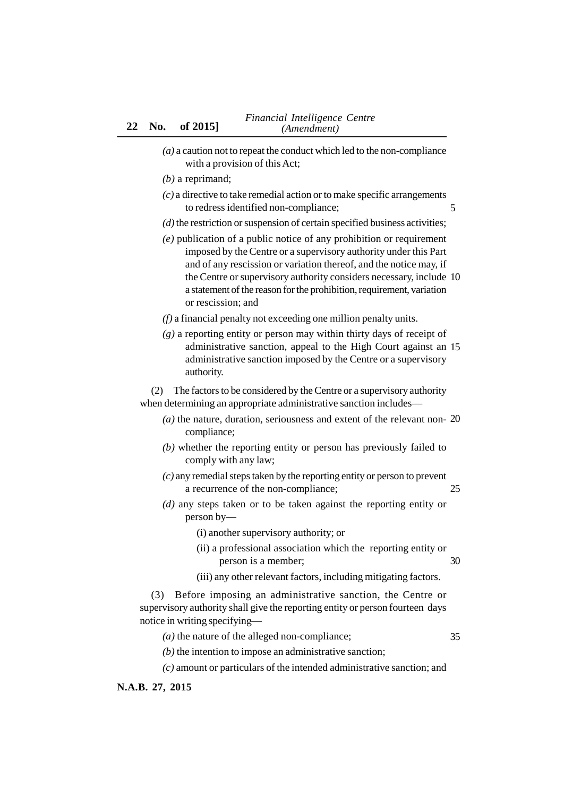- *(a)* a caution not to repeat the conduct which led to the non-compliance with a provision of this Act;
- *(b)* a reprimand;
- *(c)* a directive to take remedial action or to make specific arrangements to redress identified non-compliance; 5
- *(d)*the restriction or suspension of certain specified business activities;
- *(e)* publication of a public notice of any prohibition or requirement imposed by the Centre or a supervisory authority under this Part and of any rescission or variation thereof, and the notice may, if the Centre or supervisory authority considers necessary, include 10 a statement of the reason for the prohibition, requirement, variation or rescission; and
- *(f)* a financial penalty not exceeding one million penalty units.
- *(g)* a reporting entity or person may within thirty days of receipt of administrative sanction, appeal to the High Court against an 15 administrative sanction imposed by the Centre or a supervisory authority.

(2) The factors to be considered by the Centre or a supervisory authority when determining an appropriate administrative sanction includes—

- *(a)* the nature, duration, seriousness and extent of the relevant non-20 compliance;
- *(b)* whether the reporting entity or person has previously failed to comply with any law;
- *(c)* any remedial steps taken by the reporting entity or person to prevent a recurrence of the non-compliance; 25
- *(d)* any steps taken or to be taken against the reporting entity or person by—
	- (i) another supervisory authority; or
	- (ii) a professional association which the reporting entity or person is a member; 30
	- (iii) any other relevant factors, including mitigating factors.

(3) Before imposing an administrative sanction, the Centre or supervisory authority shall give the reporting entity or person fourteen days notice in writing specifying—

- *(a)* the nature of the alleged non-compliance; 35
- *(b)* the intention to impose an administrative sanction;
- *(c)* amount or particulars of the intended administrative sanction; and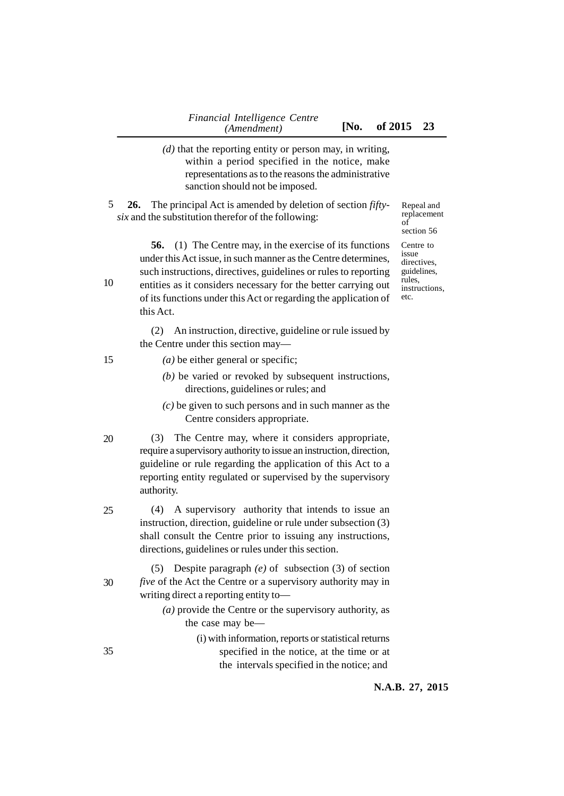- *(d)* that the reporting entity or person may, in writing, within a period specified in the notice, make representations as to the reasons the administrative sanction should not be imposed.
- **26.** The principal Act is amended by deletion of section *fiftysix* and the substitution therefor of the following: 5

Repeal and replacement of section 56

**56.** (1) The Centre may, in the exercise of its functions under this Act issue, in such manner as the Centre determines, such instructions, directives, guidelines or rules to reporting entities as it considers necessary for the better carrying out of its functions under this Act or regarding the application of

(2) An instruction, directive, guideline or rule issued by the Centre under this section may—

*(a)* be either general or specific;

this Act.

10

15

- *(b)* be varied or revoked by subsequent instructions, directions, guidelines or rules; and
- *(c)* be given to such persons and in such manner as the Centre considers appropriate.
- (3) The Centre may, where it considers appropriate, require a supervisory authority to issue an instruction, direction, guideline or rule regarding the application of this Act to a reporting entity regulated or supervised by the supervisory authority. 20
- (4) A supervisory authority that intends to issue an instruction, direction, guideline or rule under subsection (3) shall consult the Centre prior to issuing any instructions, directions, guidelines or rules under this section. 25
- (5) Despite paragraph *(e)* of subsection (3) of section *five* of the Act the Centre or a supervisory authority may in writing direct a reporting entity to— 30
	- *(a)* provide the Centre or the supervisory authority, as the case may be—
		- (i) with information, reports or statistical returns specified in the notice, at the time or at the intervals specified in the notice; and

Centre to issue directives. guidelines, rules, instructions, etc.

35